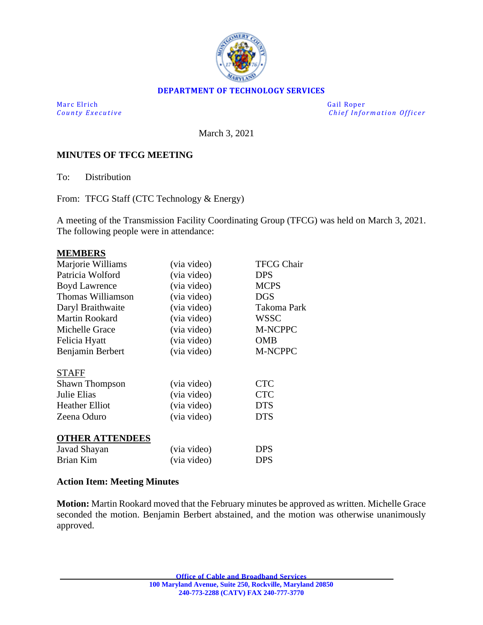

# **DEPARTMENT OF TECHNOLOGY SERVICES**

Marc Elrich Gail Roper

*County Executive* **Executive** *County Executive Chief Information Officer* 

March 3, 2021

# **MINUTES OF TFCG MEETING**

To: Distribution

From: TFCG Staff (CTC Technology & Energy)

A meeting of the Transmission Facility Coordinating Group (TFCG) was held on March 3, 2021. The following people were in attendance:

#### **MEMBERS**

| Marjorie Williams      | (via video) | <b>TFCG Chair</b> |
|------------------------|-------------|-------------------|
| Patricia Wolford       | (via video) | <b>DPS</b>        |
| <b>Boyd Lawrence</b>   | (via video) | <b>MCPS</b>       |
| Thomas Williamson      | (via video) | <b>DGS</b>        |
| Daryl Braithwaite      | (via video) | Takoma Park       |
| <b>Martin Rookard</b>  | (via video) | <b>WSSC</b>       |
| Michelle Grace         | (via video) | M-NCPPC           |
| Felicia Hyatt          | (via video) | <b>OMB</b>        |
| Benjamin Berbert       | (via video) | M-NCPPC           |
|                        |             |                   |
| <b>STAFF</b>           |             |                   |
| Shawn Thompson         | (via video) | <b>CTC</b>        |
| Julie Elias            | (via video) | <b>CTC</b>        |
| <b>Heather Elliot</b>  | (via video) | <b>DTS</b>        |
| Zeena Oduro            | (via video) | <b>DTS</b>        |
|                        |             |                   |
| <b>OTHER ATTENDEES</b> |             |                   |
| Javad Shayan           | (via video) | <b>DPS</b>        |
| Brian Kim              | (via video) | <b>DPS</b>        |

## **Action Item: Meeting Minutes**

**Motion:** Martin Rookard moved that the February minutes be approved as written. Michelle Grace seconded the motion. Benjamin Berbert abstained, and the motion was otherwise unanimously approved.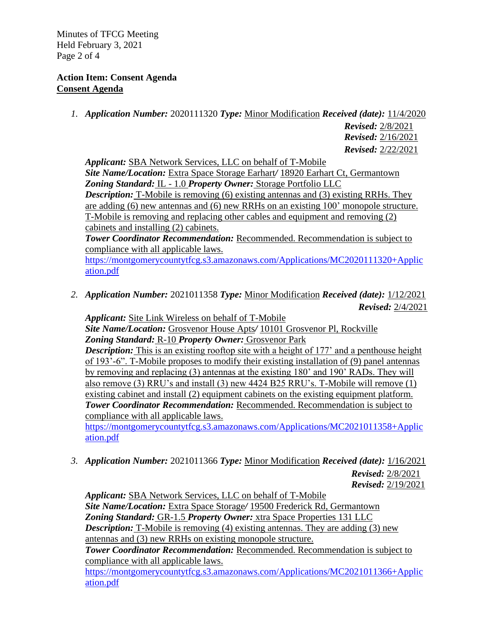Minutes of TFCG Meeting Held February 3, 2021 Page 2 of 4

# **Action Item: Consent Agenda Consent Agenda**

*1. Application Number:* 2020111320 *Type:* Minor Modification *Received (date):* 11/4/2020

*Revised:* 2/8/2021 *Revised:* 2/16/2021 *Revised:* 2/22/2021

*Applicant:* SBA Network Services, LLC on behalf of T-Mobile *Site Name/Location:* Extra Space Storage Earhart*/* 18920 Earhart Ct, Germantown *Zoning Standard:* IL - 1.0 *Property Owner:* Storage Portfolio LLC *Description:* T-Mobile is removing (6) existing antennas and (3) existing RRHs. They are adding (6) new antennas and (6) new RRHs on an existing 100' monopole structure. T-Mobile is removing and replacing other cables and equipment and removing (2) cabinets and installing (2) cabinets.

*Tower Coordinator Recommendation:* Recommended. Recommendation is subject to compliance with all applicable laws.

[https://montgomerycountytfcg.s3.amazonaws.com/Applications/MC2020111320+Applic](https://montgomerycountytfcg.s3.amazonaws.com/Applications/MC2020111320+Application.pdf) [ation.pdf](https://montgomerycountytfcg.s3.amazonaws.com/Applications/MC2020111320+Application.pdf)

*2. Application Number:* 2021011358 *Type:* Minor Modification *Received (date):* 1/12/2021 *Revised:* 2/4/2021

*Applicant:* Site Link Wireless on behalf of T-Mobile *Site Name/Location:* Grosvenor House Apts*/* 10101 Grosvenor Pl, Rockville *Zoning Standard:* R-10 *Property Owner:* Grosvenor Park **Description:** This is an existing rooftop site with a height of 177' and a penthouse height of 193'-6". T-Mobile proposes to modify their existing installation of (9) panel antennas by removing and replacing (3) antennas at the existing 180' and 190' RADs. They will also remove (3) RRU's and install (3) new 4424 B25 RRU's. T-Mobile will remove (1) existing cabinet and install (2) equipment cabinets on the existing equipment platform. **Tower Coordinator Recommendation:** Recommended. Recommendation is subject to compliance with all applicable laws.

[https://montgomerycountytfcg.s3.amazonaws.com/Applications/MC2021011358+Applic](https://montgomerycountytfcg.s3.amazonaws.com/Applications/MC2021011358+Application.pdf) [ation.pdf](https://montgomerycountytfcg.s3.amazonaws.com/Applications/MC2021011358+Application.pdf)

*3. Application Number:* 2021011366 *Type:* Minor Modification *Received (date):* 1/16/2021

*Revised:* 2/8/2021 *Revised:* 2/19/2021

*Applicant:* SBA Network Services, LLC on behalf of T-Mobile *Site Name/Location:* Extra Space Storage*/* 19500 Frederick Rd, Germantown *Zoning Standard:* GR-1.5 *Property Owner:* xtra Space Properties 131 LLC *Description:* T-Mobile is removing (4) existing antennas. They are adding (3) new antennas and (3) new RRHs on existing monopole structure. *Tower Coordinator Recommendation:* Recommended. Recommendation is subject to compliance with all applicable laws.

[https://montgomerycountytfcg.s3.amazonaws.com/Applications/MC2021011366+Applic](https://montgomerycountytfcg.s3.amazonaws.com/Applications/MC2021011366+Application.pdf) [ation.pdf](https://montgomerycountytfcg.s3.amazonaws.com/Applications/MC2021011366+Application.pdf)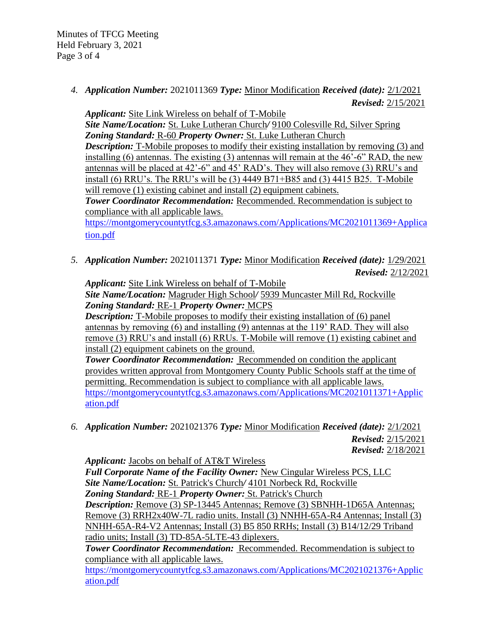Minutes of TFCG Meeting Held February 3, 2021 Page 3 of 4

> *4. Application Number:* 2021011369 *Type:* Minor Modification *Received (date):* 2/1/2021 *Revised:* 2/15/2021

*Applicant:* Site Link Wireless on behalf of T-Mobile

*Site Name/Location:* St. Luke Lutheran Church*/* 9100 Colesville Rd, Silver Spring *Zoning Standard:* R-60 *Property Owner:* St. Luke Lutheran Church **Description:** T-Mobile proposes to modify their existing installation by removing (3) and installing (6) antennas. The existing (3) antennas will remain at the 46'-6" RAD, the new antennas will be placed at 42'-6" and 45' RAD's. They will also remove (3) RRU's and install (6) RRU's. The RRU's will be (3) 4449 B71+B85 and (3) 4415 B25. T-Mobile will remove (1) existing cabinet and install (2) equipment cabinets.

*Tower Coordinator Recommendation:* Recommended. Recommendation is subject to compliance with all applicable laws.

[https://montgomerycountytfcg.s3.amazonaws.com/Applications/MC2021011369+Applica](https://montgomerycountytfcg.s3.amazonaws.com/Applications/MC2021011369+Application.pdf) [tion.pdf](https://montgomerycountytfcg.s3.amazonaws.com/Applications/MC2021011369+Application.pdf)

*5. Application Number:* 2021011371 *Type:* Minor Modification *Received (date):* 1/29/2021 *Revised:* 2/12/2021

*Applicant:* Site Link Wireless on behalf of T-Mobile *Site Name/Location:* Magruder High School*/* 5939 Muncaster Mill Rd, Rockville *Zoning Standard:* RE-1 *Property Owner:* MCPS

*Description:* T-Mobile proposes to modify their existing installation of (6) panel antennas by removing (6) and installing (9) antennas at the 119' RAD. They will also remove (3) RRU's and install (6) RRUs. T-Mobile will remove (1) existing cabinet and install (2) equipment cabinets on the ground.

**Tower Coordinator Recommendation:** Recommended on condition the applicant provides written approval from Montgomery County Public Schools staff at the time of permitting. Recommendation is subject to compliance with all applicable laws. [https://montgomerycountytfcg.s3.amazonaws.com/Applications/MC2021011371+Applic](https://montgomerycountytfcg.s3.amazonaws.com/Applications/MC2021011371+Application.pdf) [ation.pdf](https://montgomerycountytfcg.s3.amazonaws.com/Applications/MC2021011371+Application.pdf)

*6. Application Number:* 2021021376 *Type:* Minor Modification *Received (date):* 2/1/2021 *Revised:* 2/15/2021 *Revised:* 2/18/2021

*Applicant:* Jacobs on behalf of AT&T Wireless

*Full Corporate Name of the Facility Owner:* New Cingular Wireless PCS, LLC *Site Name/Location:* St. Patrick's Church*/* 4101 Norbeck Rd, Rockville *Zoning Standard:* RE-1 *Property Owner:* St. Patrick's Church *Description:* Remove (3) SP-13445 Antennas; Remove (3) SBNHH-1D65A Antennas; Remove (3) RRH2x40W-7L radio units. Install (3) NNHH-65A-R4 Antennas; Install (3) NNHH-65A-R4-V2 Antennas; Install (3) B5 850 RRHs; Install (3) B14/12/29 Triband radio units; Install (3) TD-85A-5LTE-43 diplexers.

*Tower Coordinator Recommendation:* Recommended. Recommendation is subject to compliance with all applicable laws.

[https://montgomerycountytfcg.s3.amazonaws.com/Applications/MC2021021376+Applic](https://montgomerycountytfcg.s3.amazonaws.com/Applications/MC2021021376+Application.pdf) [ation.pdf](https://montgomerycountytfcg.s3.amazonaws.com/Applications/MC2021021376+Application.pdf)